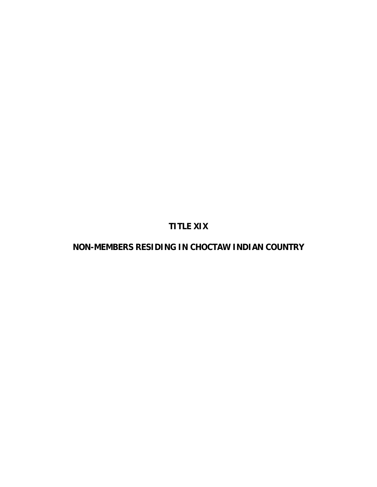**TITLE XIX** 

**NON-MEMBERS RESIDING IN CHOCTAW INDIAN COUNTRY**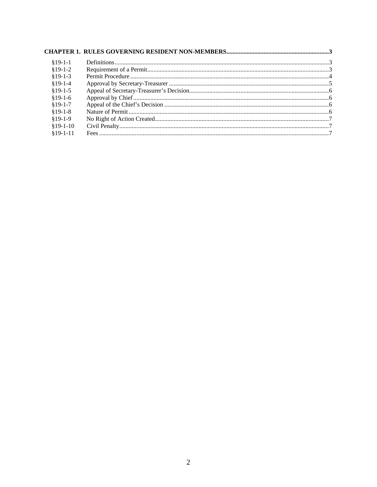| $§19-1-1$  |  |
|------------|--|
| $$19-1-2$  |  |
| $$19-1-3$  |  |
| $$19-1-4$  |  |
| $$19-1-5$  |  |
| $$19-1-6$  |  |
| $$19-1-7$  |  |
| $$19-1-8$  |  |
| $$19-1-9$  |  |
| $$19-1-10$ |  |
| $$19-1-11$ |  |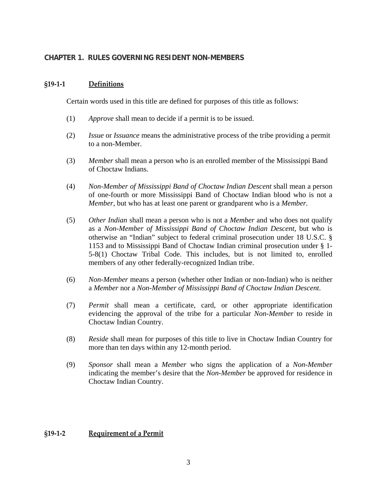# <span id="page-2-0"></span>**CHAPTER 1. RULES GOVERNING RESIDENT NON-MEMBERS**

#### **§19‐1‐1 Definitions**

Certain words used in this title are defined for purposes of this title as follows:

- (1) *Approve* shall mean to decide if a permit is to be issued.
- (2) *Issue* or *Issuance* means the administrative process of the tribe providing a permit to a non-Member.
- (3) *Member* shall mean a person who is an enrolled member of the Mississippi Band of Choctaw Indians.
- (4) *Non-Member of Mississippi Band of Choctaw Indian Descent* shall mean a person of one-fourth or more Mississippi Band of Choctaw Indian blood who is not a *Member*, but who has at least one parent or grandparent who is a *Member.*
- (5) *Other Indian* shall mean a person who is not a *Member* and who does not qualify as a *Non-Member of Mississippi Band of Choctaw Indian Descent*, but who is otherwise an "Indian" subject to federal criminal prosecution under 18 U.S.C. § 1153 and to Mississippi Band of Choctaw Indian criminal prosecution under § 1- 5-8(1) Choctaw Tribal Code. This includes, but is not limited to, enrolled members of any other federally-recognized Indian tribe.
- (6) *Non-Member* means a person (whether other Indian or non-Indian) who is neither a *Member* nor a *Non-Member of Mississippi Band of Choctaw Indian Descent*.
- (7) *Permit* shall mean a certificate, card, or other appropriate identification evidencing the approval of the tribe for a particular *Non-Member* to reside in Choctaw Indian Country.
- (8) *Reside* shall mean for purposes of this title to live in Choctaw Indian Country for more than ten days within any 12-month period.
- (9) *Sponsor* shall mean a *Member* who signs the application of a *Non-Member*  indicating the member's desire that the *Non-Member* be approved for residence in Choctaw Indian Country.

## **§19‐1‐2 Requirement of a Permit**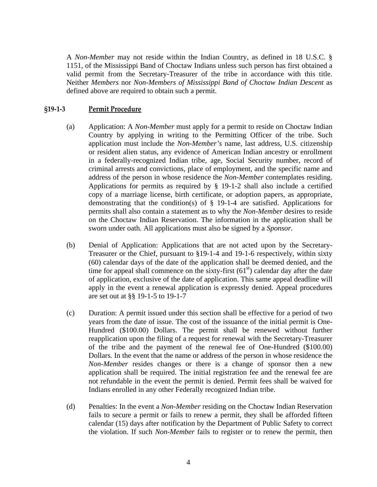<span id="page-3-0"></span>A *Non-Member* may not reside within the Indian Country, as defined in 18 U.S.C. § 1151, of the Mississippi Band of Choctaw Indians unless such person has first obtained a valid permit from the Secretary-Treasurer of the tribe in accordance with this title. Neither *Members* nor *Non-Members of Mississippi Band of Choctaw Indian Descent* as defined above are required to obtain such a permit.

#### **§19‐1‐3 Permit Procedure**

- (a) Application: A *Non-Member* must apply for a permit to reside on Choctaw Indian Country by applying in writing to the Permitting Officer of the tribe. Such application must include the *Non-Member's* name, last address, U.S. citizenship or resident alien status, any evidence of American Indian ancestry or enrollment in a federally-recognized Indian tribe, age, Social Security number, record of criminal arrests and convictions, place of employment, and the specific name and address of the person in whose residence the *Non-Member* contemplates residing. Applications for permits as required by § 19-1-2 shall also include a certified copy of a marriage license, birth certificate, or adoption papers, as appropriate, demonstrating that the condition(s) of § 19-1-4 are satisfied. Applications for permits shall also contain a statement as to why the *Non-Member* desires to reside on the Choctaw Indian Reservation. The information in the application shall be sworn under oath. All applications must also be signed by a *Sponsor*.
- (b) Denial of Application: Applications that are not acted upon by the Secretary-Treasurer or the Chief, pursuant to §19-1-4 and 19-1-6 respectively, within sixty (60) calendar days of the date of the application shall be deemed denied, and the time for appeal shall commence on the sixty-first  $(61<sup>st</sup>)$  calendar day after the date of application, exclusive of the date of application. This same appeal deadline will apply in the event a renewal application is expressly denied. Appeal procedures are set out at §§ 19-1-5 to 19-1-7
- (c) Duration: A permit issued under this section shall be effective for a period of two years from the date of issue. The cost of the issuance of the initial permit is One-Hundred (\$100.00) Dollars. The permit shall be renewed without further reapplication upon the filing of a request for renewal with the Secretary-Treasurer of the tribe and the payment of the renewal fee of One-Hundred (\$100.00) Dollars. In the event that the name or address of the person in whose residence the *Non-Member* resides changes or there is a change of sponsor then a new application shall be required. The initial registration fee and the renewal fee are not refundable in the event the permit is denied. Permit fees shall be waived for Indians enrolled in any other Federally recognized Indian tribe.
- (d) Penalties: In the event a *Non-Member* residing on the Choctaw Indian Reservation fails to secure a permit or fails to renew a permit, they shall be afforded fifteen calendar (15) days after notification by the Department of Public Safety to correct the violation. If such *Non-Member* fails to register or to renew the permit, then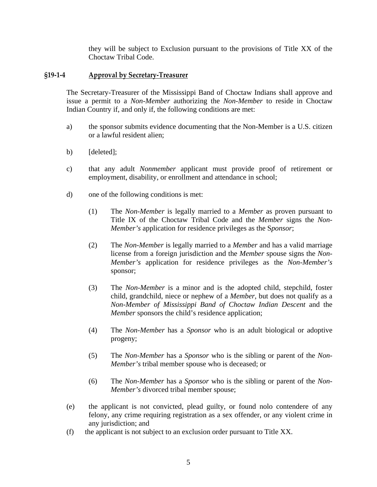they will be subject to Exclusion pursuant to the provisions of Title XX of the Choctaw Tribal Code.

#### <span id="page-4-0"></span>**§19‐1‐4 Approval by Secretary‐Treasurer**

The Secretary-Treasurer of the Mississippi Band of Choctaw Indians shall approve and issue a permit to a *Non-Member* authorizing the *Non-Member* to reside in Choctaw Indian Country if, and only if, the following conditions are met:

- a) the sponsor submits evidence documenting that the Non-Member is a U.S. citizen or a lawful resident alien;
- b) [deleted];
- c) that any adult *Nonmember* applicant must provide proof of retirement or employment, disability, or enrollment and attendance in school;
- d) one of the following conditions is met:
	- (1) The *Non-Member* is legally married to a *Member* as proven pursuant to Title IX of the Choctaw Tribal Code and the *Member* signs the *Non-Member's* application for residence privileges as the S*ponsor*;
	- (2) The *Non-Member* is legally married to a *Member* and has a valid marriage license from a foreign jurisdiction and the *Member* spouse signs the *Non-Member's* application for residence privileges as the *Non-Member's* sponsor;
	- (3) The *Non-Member* is a minor and is the adopted child, stepchild, foster child, grandchild, niece or nephew of a *Member,* but does not qualify as a *Non-Member of Mississippi Band of Choctaw Indian Descent* and the *Member* sponsors the child's residence application;
	- (4) The *Non-Member* has a *Sponsor* who is an adult biological or adoptive progeny;
	- (5) The *Non-Member* has a *Sponsor* who is the sibling or parent of the *Non-Member's* tribal member spouse who is deceased; or
	- (6) The *Non-Member* has a *Sponsor* who is the sibling or parent of the *Non-Member's* divorced tribal member spouse;
- (e) the applicant is not convicted, plead guilty, or found nolo contendere of any felony, any crime requiring registration as a sex offender, or any violent crime in any jurisdiction; and
- (f) the applicant is not subject to an exclusion order pursuant to Title XX.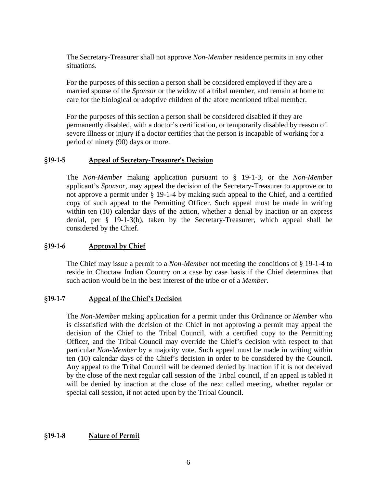<span id="page-5-0"></span>The Secretary-Treasurer shall not approve *Non-Member* residence permits in any other situations.

For the purposes of this section a person shall be considered employed if they are a married spouse of the *Sponsor* or the widow of a tribal member, and remain at home to care for the biological or adoptive children of the afore mentioned tribal member.

For the purposes of this section a person shall be considered disabled if they are permanently disabled, with a doctor's certification, or temporarily disabled by reason of severe illness or injury if a doctor certifies that the person is incapable of working for a period of ninety (90) days or more.

## **§19‐1‐5 Appeal of Secretary‐Treasurer's Decision**

The *Non-Member* making application pursuant to § 19-1-3, or the *Non-Member*  applicant's *Sponsor*, may appeal the decision of the Secretary-Treasurer to approve or to not approve a permit under § 19-1-4 by making such appeal to the Chief, and a certified copy of such appeal to the Permitting Officer. Such appeal must be made in writing within ten (10) calendar days of the action, whether a denial by inaction or an express denial, per § 19-1-3(b), taken by the Secretary-Treasurer, which appeal shall be considered by the Chief.

## **§19‐1‐6 Approval by Chief**

The Chief may issue a permit to a *Non-Member* not meeting the conditions of § 19-1-4 to reside in Choctaw Indian Country on a case by case basis if the Chief determines that such action would be in the best interest of the tribe or of a *Member*.

## **§19‐1‐7 Appeal of the Chief's Decision**

The *Non-Member* making application for a permit under this Ordinance or *Member* who is dissatisfied with the decision of the Chief in not approving a permit may appeal the decision of the Chief to the Tribal Council, with a certified copy to the Permitting Officer, and the Tribal Council may override the Chief's decision with respect to that particular *Non-Member* by a majority vote. Such appeal must be made in writing within ten (10) calendar days of the Chief's decision in order to be considered by the Council. Any appeal to the Tribal Council will be deemed denied by inaction if it is not deceived by the close of the next regular call session of the Tribal council, if an appeal is tabled it will be denied by inaction at the close of the next called meeting, whether regular or special call session, if not acted upon by the Tribal Council.

## **§19‐1‐8 Nature of Permit**